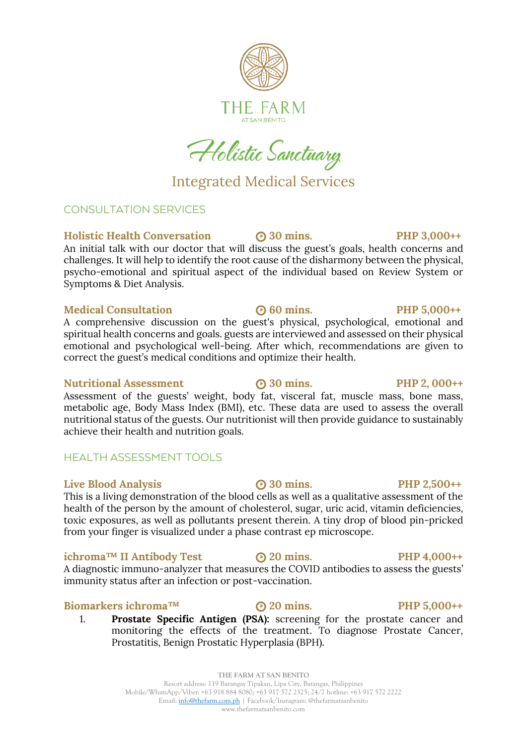

Holistic Sanctuary

### Integrated Medical Services

### CONSULTATION SERVICES

### **Holistic Health Conversation 30 mins. PHP 3,000++** An initial talk with our doctor that will discuss the guest's goals, health concerns and

challenges. It will help to identify the root cause of the disharmony between the physical, psycho-emotional and spiritual aspect of the individual based on Review System or Symptoms & Diet Analysis.

### **Medical Consultation 60 mins. PHP 5,000++**

A comprehensive discussion on the guest's physical, psychological, emotional and spiritual health concerns and goals. guests are interviewed and assessed on their physical emotional and psychological well-being. After which, recommendations are given to correct the guest's medical conditions and optimize their health.

### **Nutritional Assessment 30 mins. PHP 2, 000++**

Assessment of the guests' weight, body fat, visceral fat, muscle mass, bone mass, metabolic age, Body Mass Index (BMI), etc. These data are used to assess the overall nutritional status of the guests. Our nutritionist will then provide guidance to sustainably achieve their health and nutrition goals.

### HEALTH ASSESSMENT TOOLS

### **Live Blood Analysis 30 mins.** PHP 2,500++

This is a living demonstration of the blood cells as well as a qualitative assessment of the health of the person by the amount of cholesterol, sugar, uric acid, vitamin deficiencies, toxic exposures, as well as pollutants present therein. A tiny drop of blood pin-pricked from your finger is visualized under a phase contrast ep microscope.

### **ichroma™ II Antibody Test 20 mins. PHP 4,000++**

A diagnostic immuno-analyzer that measures the COVID antibodies to assess the guests' immunity status after an infection or post-vaccination.

### **Biomarkers ichroma™ 20 mins. PHP 5,000++**

1. **Prostate Specific Antigen (PSA):** screening for the prostate cancer and monitoring the effects of the treatment. To diagnose Prostate Cancer, Prostatitis, Benign Prostatic Hyperplasia (BPH).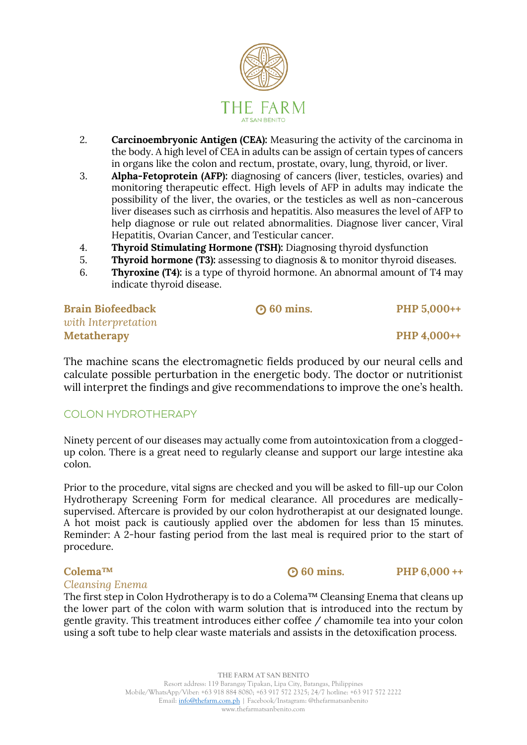

- 2. **Carcinoembryonic Antigen (CEA):** Measuring the activity of the carcinoma in the body. A high level of CEA in adults can be assign of certain types of cancers in organs like the colon and rectum, prostate, ovary, lung, thyroid, or liver.
- 3. **Alpha-Fetoprotein (AFP):** diagnosing of cancers (liver, testicles, ovaries) and monitoring therapeutic effect. High levels of AFP in adults may indicate the possibility of the liver, the ovaries, or the testicles as well as non-cancerous liver diseases such as cirrhosis and hepatitis. Also measures the level of AFP to help diagnose or rule out related abnormalities. Diagnose liver cancer, Viral Hepatitis, Ovarian Cancer, and Testicular cancer.
- 4. **Thyroid Stimulating Hormone (TSH):** Diagnosing thyroid dysfunction
- 5. **Thyroid hormone (T3):** assessing to diagnosis & to monitor thyroid diseases.
- 6. **Thyroxine (T4):** is a type of thyroid hormone. An abnormal amount of T4 may indicate thyroid disease.

| <b>Brain Biofeedback</b> | $\odot$ 60 mins. | PHP 5,000++ |
|--------------------------|------------------|-------------|
| with Interpretation      |                  |             |
| <b>Metatherapy</b>       |                  | PHP 4,000++ |

The machine scans the electromagnetic fields produced by our neural cells and calculate possible perturbation in the energetic body. The doctor or nutritionist will interpret the findings and give recommendations to improve the one's health.

### COLON HYDROTHERAPY

Ninety percent of our diseases may actually come from autointoxication from a cloggedup colon. There is a great need to regularly cleanse and support our large intestine aka colon.

Prior to the procedure, vital signs are checked and you will be asked to fill-up our Colon Hydrotherapy Screening Form for medical clearance. All procedures are medicallysupervised. Aftercare is provided by our colon hydrotherapist at our designated lounge. A hot moist pack is cautiously applied over the abdomen for less than 15 minutes. Reminder: A 2-hour fasting period from the last meal is required prior to the start of procedure.

### *Cleansing Enema*

The first step in Colon Hydrotherapy is to do a Colema™ Cleansing Enema that cleans up the lower part of the colon with warm solution that is introduced into the rectum by gentle gravity. This treatment introduces either coffee / chamomile tea into your colon using a soft tube to help clear waste materials and assists in the detoxification process.

Colema<sup>™</sup> **60 mins.** PHP 6,000 ++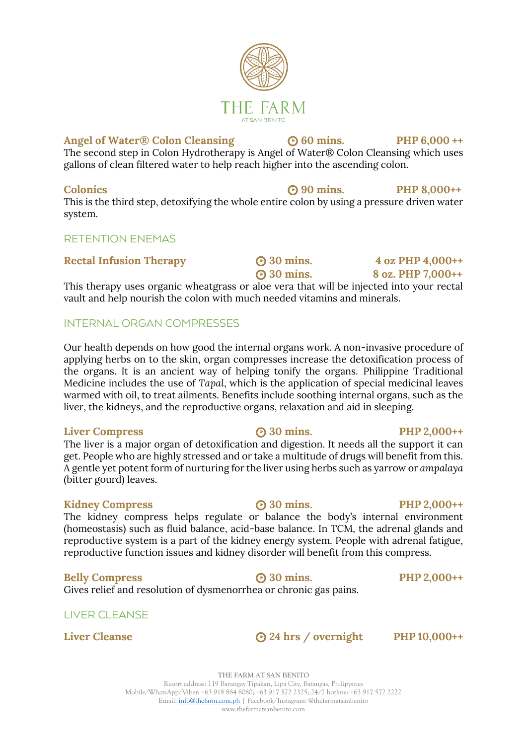### Angel of Water® Colon Cleansing <br> **60 mins.** PHP 6,000 ++

The second step in Colon Hydrotherapy is Angel of Water® Colon Cleansing which uses gallons of clean filtered water to help reach higher into the ascending colon.

### **Colonics 90 mins. PHP 8,000++**

This is the third step, detoxifying the whole entire colon by using a pressure driven water system.

### RETENTION ENEMAS

### **Rectal Infusion Therapy 30 mins.** 4 oz PHP 4,000++

 **30 mins. 8 oz. PHP 7,000++** This therapy uses organic wheatgrass or aloe vera that will be injected into your rectal vault and help nourish the colon with much needed vitamins and minerals.

### INTERNAL ORGAN COMPRESSES

Our health depends on how good the internal organs work. A non-invasive procedure of applying herbs on to the skin, organ compresses increase the detoxification process of the organs. It is an ancient way of helping tonify the organs. Philippine Traditional Medicine includes the use of *Tapal*, which is the application of special medicinal leaves warmed with oil, to treat ailments. Benefits include soothing internal organs, such as the liver, the kidneys, and the reproductive organs, relaxation and aid in sleeping.

### **Liver Compress 30 mins. PHP 2,000++**

The liver is a major organ of detoxification and digestion. It needs all the support it can get. People who are highly stressed and or take a multitude of drugs will benefit from this. A gentle yet potent form of nurturing for the liver using herbs such as yarrow or *ampalaya* (bitter gourd) leaves.

### **Kidney Compress 30 mins.** PHP 2,000++

The kidney compress helps regulate or balance the body's internal environment (homeostasis) such as fluid balance, acid-base balance. In TCM, the adrenal glands and reproductive system is a part of the kidney energy system. People with adrenal fatigue, reproductive function issues and kidney disorder will benefit from this compress.

### **Belly Compress 30 mins. PHP 2,000++**

Gives relief and resolution of dysmenorrhea or chronic gas pains.

### LIVER CLEANSE

**Liver Cleanse 24 hrs / overnight PHP 10,000++** 

## **THE FARM AT SAN BENITO**

Resort address: 119 Barangay Tipakan, Lipa City, Batangas, Philippines Mobile/WhatsApp/Viber: +63 918 884 8080; +63 917 572 2325; 24/7 hotline: +63 917 572 2222 Email: [info@thefarm.com.ph](mailto:info@thefarm.com.ph) | Facebook/Instagram: @thefarmatsanbenito www.thefarmatsanbenito.com

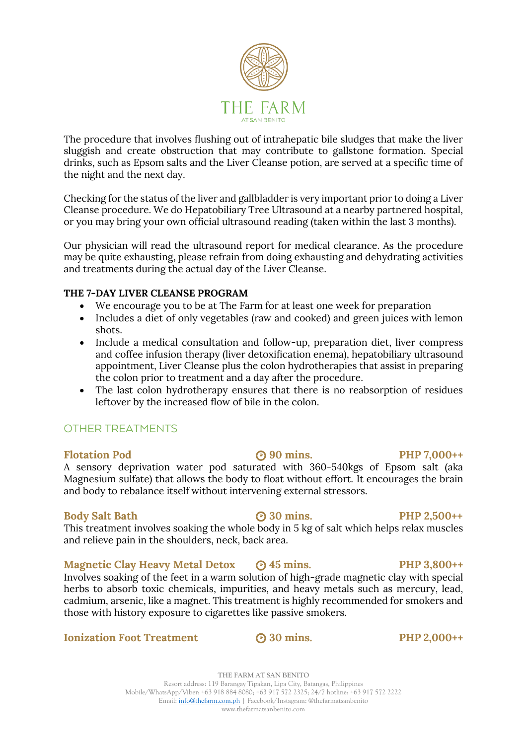

The procedure that involves flushing out of intrahepatic bile sludges that make the liver sluggish and create obstruction that may contribute to gallstone formation. Special drinks, such as Epsom salts and the Liver Cleanse potion, are served at a specific time of the night and the next day.

Checking for the status of the liver and gallbladder is very important prior to doing a Liver Cleanse procedure. We do Hepatobiliary Tree Ultrasound at a nearby partnered hospital, or you may bring your own official ultrasound reading (taken within the last 3 months).

Our physician will read the ultrasound report for medical clearance. As the procedure may be quite exhausting, please refrain from doing exhausting and dehydrating activities and treatments during the actual day of the Liver Cleanse.

### **THE 7-DAY LIVER CLEANSE PROGRAM**

- We encourage you to be at The Farm for at least one week for preparation
- Includes a diet of only vegetables (raw and cooked) and green juices with lemon shots.
- Include a medical consultation and follow-up, preparation diet, liver compress and coffee infusion therapy (liver detoxification enema), hepatobiliary ultrasound appointment, Liver Cleanse plus the colon hydrotherapies that assist in preparing the colon prior to treatment and a day after the procedure.
- The last colon hydrotherapy ensures that there is no reabsorption of residues leftover by the increased flow of bile in the colon.

### OTHER TREATMENTS

### **Flotation Pod 90 mins.** PHP 7,000++

A sensory deprivation water pod saturated with 360-540kgs of Epsom salt (aka Magnesium sulfate) that allows the body to float without effort. It encourages the brain and body to rebalance itself without intervening external stressors.

### **Body Salt Bath 30 mins.** PHP 2,500++

This treatment involves soaking the whole body in 5 kg of salt which helps relax muscles and relieve pain in the shoulders, neck, back area.

### **Magnetic Clay Heavy Metal Detox**  $\odot$  **45 mins. PHP 3,800++**

Involves soaking of the feet in a warm solution of high-grade magnetic clay with special herbs to absorb toxic chemicals, impurities, and heavy metals such as mercury, lead, cadmium, arsenic, like a magnet. This treatment is highly recommended for smokers and those with history exposure to cigarettes like passive smokers.

### **Ionization Foot Treatment 30 mins. PHP 2,000++**

**THE FARM AT SAN BENITO** Resort address: 119 Barangay Tipakan, Lipa City, Batangas, Philippines Mobile/WhatsApp/Viber: +63 918 884 8080; +63 917 572 2325; 24/7 hotline: +63 917 572 2222 Email: [info@thefarm.com.ph](mailto:info@thefarm.com.ph) | Facebook/Instagram: @thefarmatsanbenito www.thefarmatsanbenito.com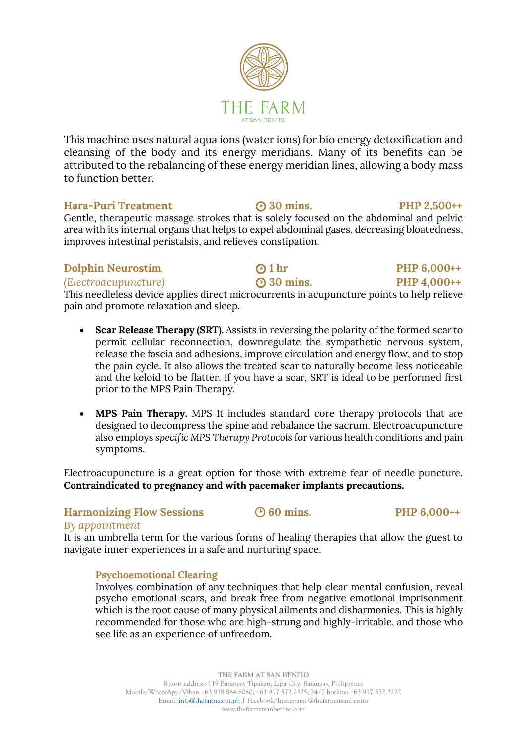

This machine uses natural aqua ions (water ions) for bio energy detoxification and cleansing of the body and its energy meridians. Many of its benefits can be attributed to the rebalancing of these energy meridian lines, allowing a body mass to function better.

### **Hara-Puri Treatment 30 mins. PHP 2,500++**

Gentle, therapeutic massage strokes that is solely focused on the abdominal and pelvic area with its internal organs that helps to expel abdominal gases, decreasing bloatedness, improves intestinal peristalsis, and relieves constipation.

### **Dolphin Neurostim 2 0 hr PHP 6,000++**

### *(Electroacupuncture)* **30 mins. PHP 4,000++**

This needleless device applies direct microcurrents in acupuncture points to help relieve pain and promote relaxation and sleep.

- **Scar Release Therapy (SRT).** Assists in reversing the polarity of the formed scar to permit cellular reconnection, downregulate the sympathetic nervous system, release the fascia and adhesions, improve circulation and energy flow, and to stop the pain cycle. It also allows the treated scar to naturally become less noticeable and the keloid to be flatter. If you have a scar, SRT is ideal to be performed first prior to the MPS Pain Therapy.
- **MPS Pain Therapy.** MPS It includes standard core therapy protocols that are designed to decompress the spine and rebalance the sacrum. Electroacupuncture also employs *specific MPS Therapy Protocols* for various health conditions and pain symptoms.

Electroacupuncture is a great option for those with extreme fear of needle puncture. **Contraindicated to pregnancy and with pacemaker implants precautions.**

### **Harmonizing Flow Sessions**  $\bigcirc$  60 mins. PHP 6,000++

### *By appointment*

It is an umbrella term for the various forms of healing therapies that allow the guest to navigate inner experiences in a safe and nurturing space.

### **Psychoemotional Clearing**

Involves combination of any techniques that help clear mental confusion, reveal psycho emotional scars, and break free from negative emotional imprisonment which is the root cause of many physical ailments and disharmonies. This is highly recommended for those who are high-strung and highly-irritable, and those who see life as an experience of unfreedom.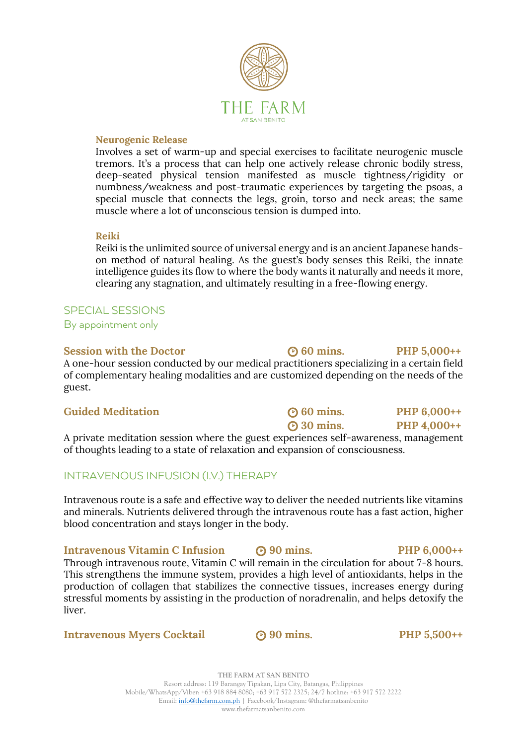

### **Neurogenic Release**

Involves a set of warm-up and special exercises to facilitate neurogenic muscle tremors. It's a process that can help one actively release chronic bodily stress, deep-seated physical tension manifested as muscle tightness/rigidity or numbness/weakness and post-traumatic experiences by targeting the psoas, a special muscle that connects the legs, groin, torso and neck areas; the same muscle where a lot of unconscious tension is dumped into.

### **Reiki**

Reiki is the unlimited source of universal energy and is an ancient Japanese handson method of natural healing. As the guest's body senses this Reiki, the innate intelligence guides its flow to where the body wants it naturally and needs it more, clearing any stagnation, and ultimately resulting in a free-flowing energy.

### SPECIAL SESSIONS

By appointment only

### **Session with the Doctor 60 (b) 60 mins.** PHP 5,000++

A one-hour session conducted by our medical practitioners specializing in a certain field of complementary healing modalities and are customized depending on the needs of the guest.

| <b>Guided Meditation</b>                                                            | $\Theta$ 60 mins. | PHP 6,000++ |  |
|-------------------------------------------------------------------------------------|-------------------|-------------|--|
|                                                                                     | $\Theta$ 30 mins. | PHP 4,000++ |  |
| A private meditation session where the guest experiences self-awareness, management |                   |             |  |
| of thoughts leading to a state of relaxation and expansion of consciousness.        |                   |             |  |

### INTRAVENOUS INFUSION (I.V.) THERAPY

Intravenous route is a safe and effective way to deliver the needed nutrients like vitamins and minerals. Nutrients delivered through the intravenous route has a fast action, higher blood concentration and stays longer in the body.

**Intravenous Vitamin C Infusion • 000 mins.** PHP 6,000++ Through intravenous route, Vitamin C will remain in the circulation for about 7-8 hours. This strengthens the immune system, provides a high level of antioxidants, helps in the production of collagen that stabilizes the connective tissues, increases energy during stressful moments by assisting in the production of noradrenalin, and helps detoxify the liver.

### **Intravenous Myers Cocktail**  $\bullet$  **90 mins.** PHP 5,500++

**THE FARM AT SAN BENITO** Resort address: 119 Barangay Tipakan, Lipa City, Batangas, Philippines Mobile/WhatsApp/Viber: +63 918 884 8080; +63 917 572 2325; 24/7 hotline: +63 917 572 2222 Email: [info@thefarm.com.ph](mailto:info@thefarm.com.ph) | Facebook/Instagram: @thefarmatsanbenito www.thefarmatsanbenito.com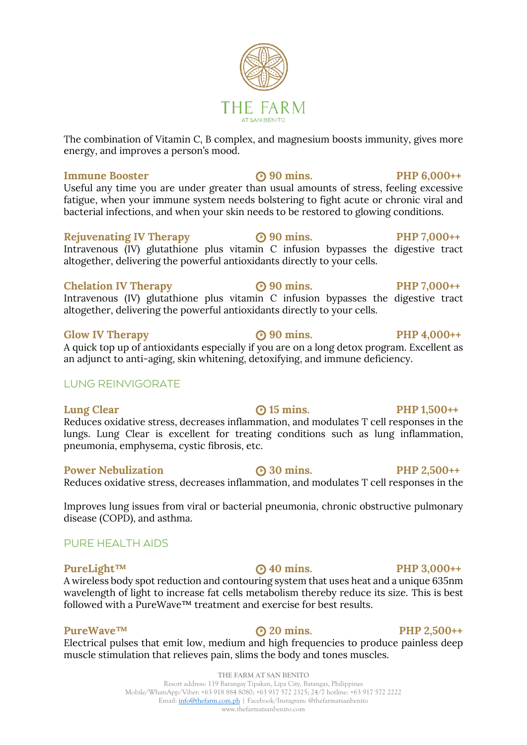### **Immune Booster 90 mins.** PHP 6.000++

Useful any time you are under greater than usual amounts of stress, feeling excessive fatigue, when your immune system needs bolstering to fight acute or chronic viral and bacterial infections, and when your skin needs to be restored to glowing conditions.

### **Rejuvenating IV Therapy 90 mins.** PHP 7,000++

energy, and improves a person's mood.

Intravenous (IV) glutathione plus vitamin C infusion bypasses the digestive tract altogether, delivering the powerful antioxidants directly to your cells.

### **Chelation IV Therapy 90 mins.** PHP 7,000++

Intravenous (IV) glutathione plus vitamin C infusion bypasses the digestive tract altogether, delivering the powerful antioxidants directly to your cells.

### **Glow IV Therapy 90 mins.** PHP 4,000++

A quick top up of antioxidants especially if you are on a long detox program. Excellent as an adjunct to anti-aging, skin whitening, detoxifying, and immune deficiency.

### LUNG REINVIGORATE

**Lung Clear b 15 mins. PHP 1,500++** Reduces oxidative stress, decreases inflammation, and modulates T cell responses in the lungs. Lung Clear is excellent for treating conditions such as lung inflammation, pneumonia, emphysema, cystic fibrosis, etc.

### **Power Nebulization CO** 30 mins. PHP 2,500++

Reduces oxidative stress, decreases inflammation, and modulates T cell responses in the

Improves lung issues from viral or bacterial pneumonia, chronic obstructive pulmonary disease (COPD), and asthma.

### PURE HEALTH AIDS

### **PureLight™ 40 mins.** PHP 3,000++

A wireless body spot reduction and contouring system that uses heat and a unique 635nm wavelength of light to increase fat cells metabolism thereby reduce its size. This is best followed with a PureWave™ treatment and exercise for best results.

### **PureWave<sup>™</sup> 
<b>20** mins. PHP 2,500++

Electrical pulses that emit low, medium and high frequencies to produce painless deep muscle stimulation that relieves pain, slims the body and tones muscles.

FARM **AT SAN RENITO** The combination of Vitamin C, B complex, and magnesium boosts immunity, gives more

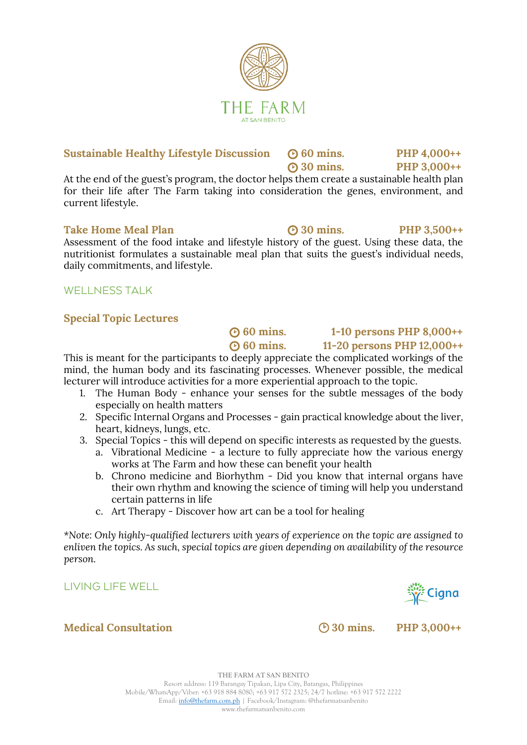### **Sustainable Healthy Lifestyle Discussion**  $\odot$  60 mins. PHP 4,000++

At the end of the guest's program, the doctor helps them create a sustainable health plan for their life after The Farm taking into consideration the genes, environment, and current lifestyle.

### Take Home Meal Plan **8.49 (a)** 30 mins. PHP 3.500++

Assessment of the food intake and lifestyle history of the guest. Using these data, the nutritionist formulates a sustainable meal plan that suits the guest's individual needs, daily commitments, and lifestyle.

### WELL NESS TALK

### **Special Topic Lectures**

 **60 mins. 11-20 persons PHP 12,000++** This is meant for the participants to deeply appreciate the complicated workings of the mind, the human body and its fascinating processes. Whenever possible, the medical lecturer will introduce activities for a more experiential approach to the topic.

- 1. The Human Body enhance your senses for the subtle messages of the body especially on health matters
- 2. Specific Internal Organs and Processes gain practical knowledge about the liver, heart, kidneys, lungs, etc.
- 3. Special Topics this will depend on specific interests as requested by the guests.
	- a. Vibrational Medicine a lecture to fully appreciate how the various energy works at The Farm and how these can benefit your health
	- b. Chrono medicine and Biorhythm Did you know that internal organs have their own rhythm and knowing the science of timing will help you understand certain patterns in life
	- c. Art Therapy Discover how art can be a tool for healing

*\*Note: Only highly-qualified lecturers with years of experience on the topic are assigned to enliven the topics. As such, special topics are given depending on availability of the resource person.*

LIVING LIFE WELL

### **Medical Consultation 30 mins. PHP 3,000++**



**30 mins. PHP 3,000++**



**Cigna** مَجِمٌ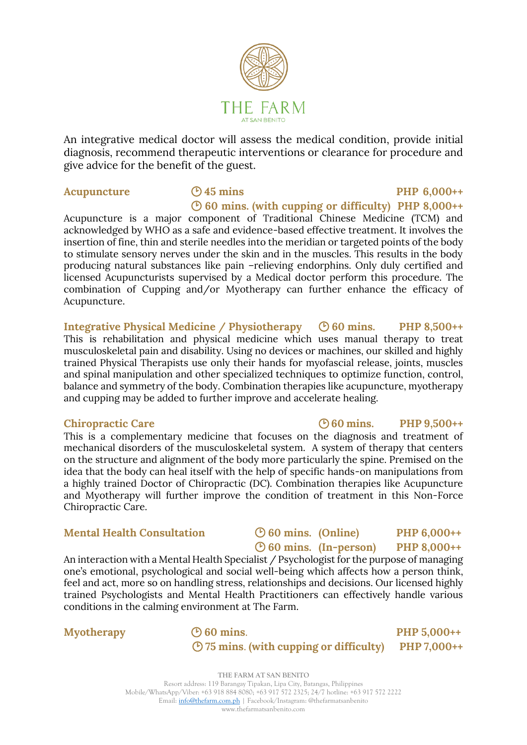

An integrative medical doctor will assess the medical condition, provide initial diagnosis, recommend therapeutic interventions or clearance for procedure and give advice for the benefit of the guest.

### Acupuncture  $\bigcirc$  45 mins PHP 6,000++ **60 mins. (with cupping or difficulty) PHP 8,000++**

Acupuncture is a major component of Traditional Chinese Medicine (TCM) and acknowledged by WHO as a safe and evidence-based effective treatment. It involves the insertion of fine, thin and sterile needles into the meridian or targeted points of the body to stimulate sensory nerves under the skin and in the muscles. This results in the body producing natural substances like pain –relieving endorphins. Only duly certified and licensed Acupuncturists supervised by a Medical doctor perform this procedure. The combination of Cupping and/or Myotherapy can further enhance the efficacy of Acupuncture.

**Integrative Physical Medicine / Physiotherapy 60 mins. PHP 8,500++** This is rehabilitation and physical medicine which uses manual therapy to treat musculoskeletal pain and disability. Using no devices or machines, our skilled and highly trained Physical Therapists use only their hands for myofascial release, joints, muscles and spinal manipulation and other specialized techniques to optimize function, control, balance and symmetry of the body. Combination therapies like acupuncture, myotherapy and cupping may be added to further improve and accelerate healing.

This is a complementary medicine that focuses on the diagnosis and treatment of mechanical disorders of the musculoskeletal system. A system of therapy that centers on the structure and alignment of the body more particularly the spine. Premised on the idea that the body can heal itself with the help of specific hands-on manipulations from a highly trained Doctor of Chiropractic (DC). Combination therapies like Acupuncture and Myotherapy will further improve the condition of treatment in this Non-Force Chiropractic Care.

### **Mental Health Consultation**  $\bigcirc$  60 mins. (Online) PHP 6,000++

 **60 mins. (In-person) PHP 8,000++** An interaction with a Mental Health Specialist / Psychologist for the purpose of managing

one's emotional, psychological and social well-being which affects how a person think, feel and act, more so on handling stress, relationships and decisions. Our licensed highly trained Psychologists and Mental Health Practitioners can effectively handle various conditions in the calming environment at The Farm.

**Myotherapy 60 mins**. **PHP 5,000++ 75 mins**. **(with cupping or difficulty) PHP 7,000++**

> **THE FARM AT SAN BENITO** Resort address: 119 Barangay Tipakan, Lipa City, Batangas, Philippines Mobile/WhatsApp/Viber: +63 918 884 8080; +63 917 572 2325; 24/7 hotline: +63 917 572 2222 Email: [info@thefarm.com.ph](mailto:info@thefarm.com.ph) | Facebook/Instagram: @thefarmatsanbenito www.thefarmatsanbenito.com

### **Chiropractic Care 60 mins. PHP 9,500++**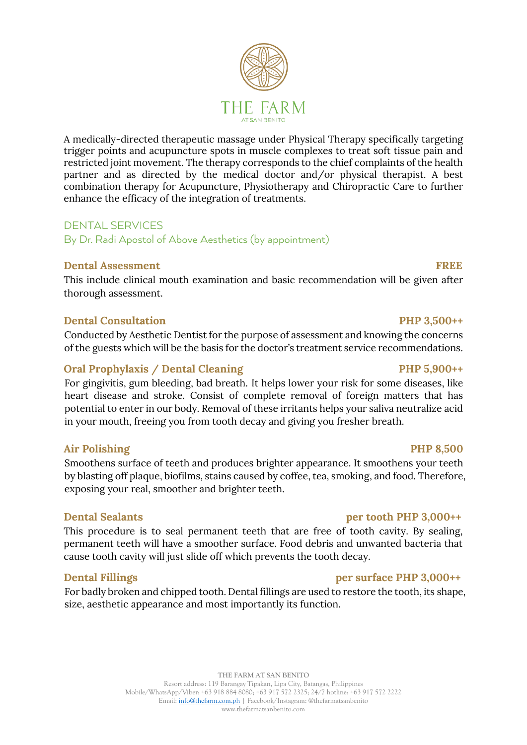### A medically-directed therapeutic massage under Physical Therapy specifically targeting trigger points and acupuncture spots in muscle complexes to treat soft tissue pain and restricted joint movement. The therapy corresponds to the chief complaints of the health partner and as directed by the medical doctor and/or physical therapist. A best combination therapy for Acupuncture, Physiotherapy and Chiropractic Care to further enhance the efficacy of the integration of treatments.

### DENTAL SERVICES

By Dr. Radi Apostol of Above Aesthetics (by appointment)

### **Dental Assessment** FREE

This include clinical mouth examination and basic recommendation will be given after thorough assessment.

### **Dental Consultation** PHP 3,500++

Conducted by Aesthetic Dentist for the purpose of assessment and knowing the concerns of the guests which will be the basis for the doctor's treatment service recommendations.

### Oral Prophylaxis / Dental Cleaning PHP 5,900++

For gingivitis, gum bleeding, bad breath. It helps lower your risk for some diseases, like heart disease and stroke. Consist of complete removal of foreign matters that has potential to enter in our body. Removal of these irritants helps your saliva neutralize acid in your mouth, freeing you from tooth decay and giving you fresher breath.

### **Air Polishing PHP 8,500**

Smoothens surface of teeth and produces brighter appearance. It smoothens your teeth by blasting off plaque, biofilms, stains caused by coffee, tea, smoking, and food. Therefore, exposing your real, smoother and brighter teeth.

This procedure is to seal permanent teeth that are free of tooth cavity. By sealing, permanent teeth will have a smoother surface. Food debris and unwanted bacteria that cause tooth cavity will just slide off which prevents the tooth decay.

### **Dental Fillings per surface PHP 3,000++**

For badly broken and chipped tooth. Dental fillings are used to restore the tooth, its shape, size, aesthetic appearance and most importantly its function.

### **THE FARM AT SAN BENITO** Resort address: 119 Barangay Tipakan, Lipa City, Batangas, Philippines Mobile/WhatsApp/Viber: +63 918 884 8080; +63 917 572 2325; 24/7 hotline: +63 917 572 2222 Email: [info@thefarm.com.ph](mailto:info@thefarm.com.ph) | Facebook/Instagram: @thefarmatsanbenito

www.thefarmatsanbenito.com

### **Dental Sealants per tooth PHP 3,000++**

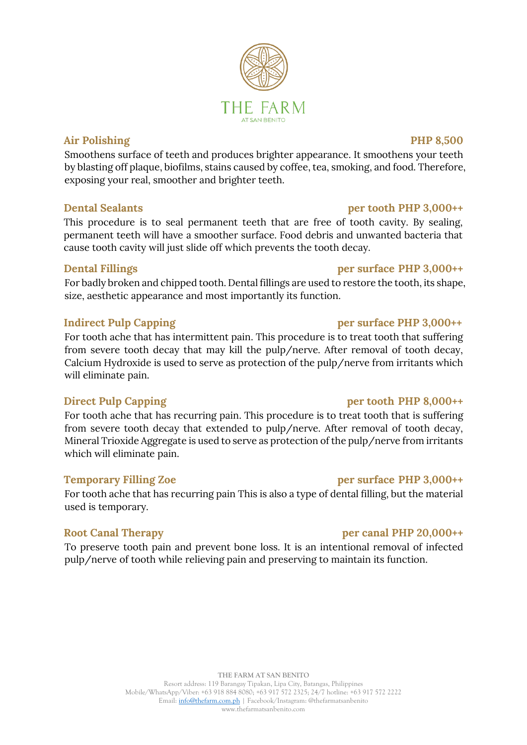### **Air Polishing PHP 8,500**

Smoothens surface of teeth and produces brighter appearance. It smoothens your teeth by blasting off plaque, biofilms, stains caused by coffee, tea, smoking, and food. Therefore, exposing your real, smoother and brighter teeth.

### **Dental Sealants per tooth PHP 3,000++**

This procedure is to seal permanent teeth that are free of tooth cavity. By sealing, permanent teeth will have a smoother surface. Food debris and unwanted bacteria that cause tooth cavity will just slide off which prevents the tooth decay.

### **Dental Fillings per surface PHP 3,000++**

For badly broken and chipped tooth. Dental fillings are used to restore the tooth, its shape, size, aesthetic appearance and most importantly its function.

### **Indirect Pulp Capping per surface PHP 3,000++**

For tooth ache that has intermittent pain. This procedure is to treat tooth that suffering from severe tooth decay that may kill the pulp/nerve. After removal of tooth decay, Calcium Hydroxide is used to serve as protection of the pulp/nerve from irritants which will eliminate pain.

### **Direct Pulp Capping** *per tooth* **PHP 8,000++**

For tooth ache that has recurring pain. This procedure is to treat tooth that is suffering from severe tooth decay that extended to pulp/nerve. After removal of tooth decay, Mineral Trioxide Aggregate is used to serve as protection of the pulp/nerve from irritants which will eliminate pain.

### **Temporary Filling Zoe per surface PHP 3,000++**

For tooth ache that has recurring pain This is also a type of dental filling, but the material used is temporary.

### **Root Canal Therapy per canal PHP 20,000++**

To preserve tooth pain and prevent bone loss. It is an intentional removal of infected pulp/nerve of tooth while relieving pain and preserving to maintain its function.

# FA R M **AT SAN RENITO**

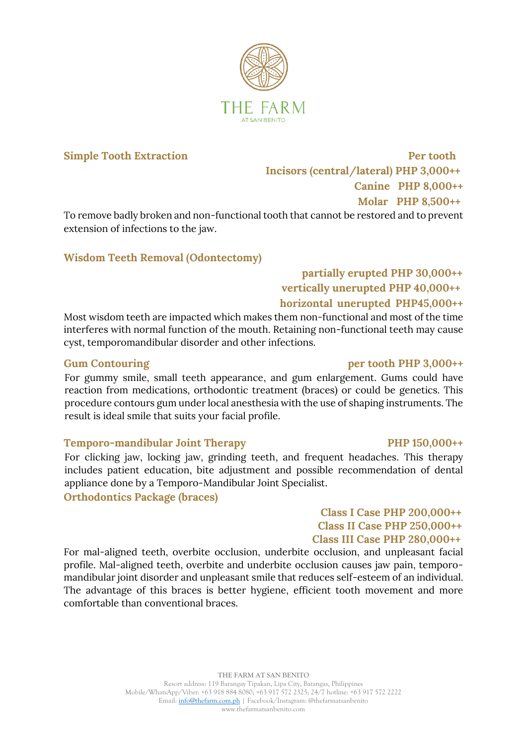

**Simple Tooth Extraction** Per tooth  **Incisors (central/lateral) PHP 3,000++ Canine PHP 8,000++ Molar PHP 8,500++** 

To remove badly broken and non-functional tooth that cannot be restored and to prevent extension of infections to the jaw.

### **Wisdom Teeth Removal (Odontectomy)**

### **partially erupted PHP 30,000++ vertically unerupted PHP 40,000++ horizontal unerupted PHP45,000++**

Most wisdom teeth are impacted which makes them non-functional and most of the time interferes with normal function of the mouth. Retaining non-functional teeth may cause cyst, temporomandibular disorder and other infections.

### Gum Contouring per tooth PHP 3,000++

For gummy smile, small teeth appearance, and gum enlargement. Gums could have reaction from medications, orthodontic treatment (braces) or could be genetics. This procedure contours gum under local anesthesia with the use of shaping instruments. The result is ideal smile that suits your facial profile.

### **Temporo-mandibular Joint Therapy PHP 150,000++**

For clicking jaw, locking jaw, grinding teeth, and frequent headaches. This therapy includes patient education, bite adjustment and possible recommendation of dental appliance done by a Temporo-Mandibular Joint Specialist.

**Orthodontics Package (braces)**

### **Class I Case PHP 200,000++ Class II Case PHP 250,000++ Class III Case PHP 280,000++**

For mal-aligned teeth, overbite occlusion, underbite occlusion, and unpleasant facial profile. Mal-aligned teeth, overbite and underbite occlusion causes jaw pain, temporomandibular joint disorder and unpleasant smile that reduces self-esteem of an individual. The advantage of this braces is better hygiene, efficient tooth movement and more comfortable than conventional braces.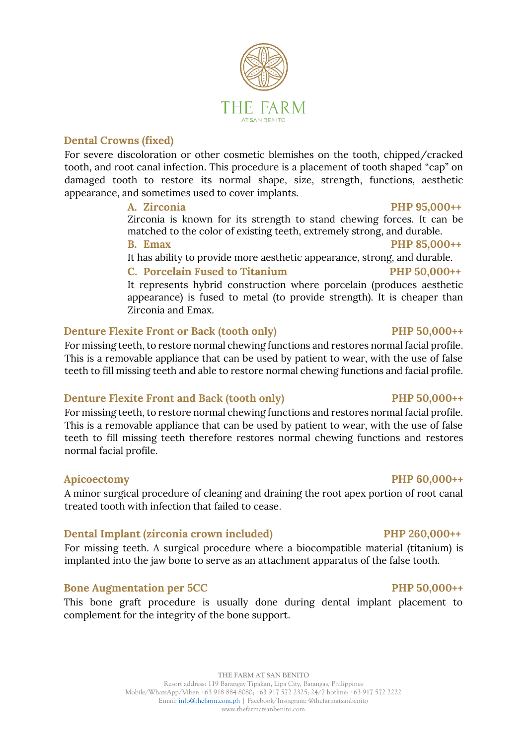### **THE FARM AT SAN BENITO** Resort address: 119 Barangay Tipakan, Lipa City, Batangas, Philippines Mobile/WhatsApp/Viber: +63 918 884 8080; +63 917 572 2325; 24/7 hotline: +63 917 572 2222 Email: [info@thefarm.com.ph](mailto:info@thefarm.com.ph) | Facebook/Instagram: @thefarmatsanbenito www.thefarmatsanbenito.com

### **Dental Crowns (fixed)**

For severe discoloration or other cosmetic blemishes on the tooth, chipped/cracked tooth, and root canal infection. This procedure is a placement of tooth shaped "cap" on damaged tooth to restore its normal shape, size, strength, functions, aesthetic appearance, and sometimes used to cover implants.

### **A. Zirconia PHP 95,000++**

Zirconia is known for its strength to stand chewing forces. It can be matched to the color of existing teeth, extremely strong, and durable. **B. Emax PHP 85,000++**

It has ability to provide more aesthetic appearance, strong, and durable.

### **C. Porcelain Fused to Titanium PHP 50,000++**

It represents hybrid construction where porcelain (produces aesthetic appearance) is fused to metal (to provide strength). It is cheaper than Zirconia and Emax.

### **Denture Flexite Front or Back (tooth only)** PHP 50,000++

For missing teeth, to restore normal chewing functions and restores normal facial profile. This is a removable appliance that can be used by patient to wear, with the use of false teeth to fill missing teeth and able to restore normal chewing functions and facial profile.

### **Denture Flexite Front and Back (tooth only)** PHP 50,000++

For missing teeth, to restore normal chewing functions and restores normal facial profile. This is a removable appliance that can be used by patient to wear, with the use of false teeth to fill missing teeth therefore restores normal chewing functions and restores normal facial profile.

### **Apicoectomy PHP 60,000++**

A minor surgical procedure of cleaning and draining the root apex portion of root canal treated tooth with infection that failed to cease.

### **Dental Implant (zirconia crown included) PHP 260,000++**

For missing teeth. A surgical procedure where a biocompatible material (titanium) is implanted into the jaw bone to serve as an attachment apparatus of the false tooth.

### **Bone Augmentation per 5CC** PHP 50,000++

This bone graft procedure is usually done during dental implant placement to complement for the integrity of the bone support.

# FARM **AT SAN RENITO**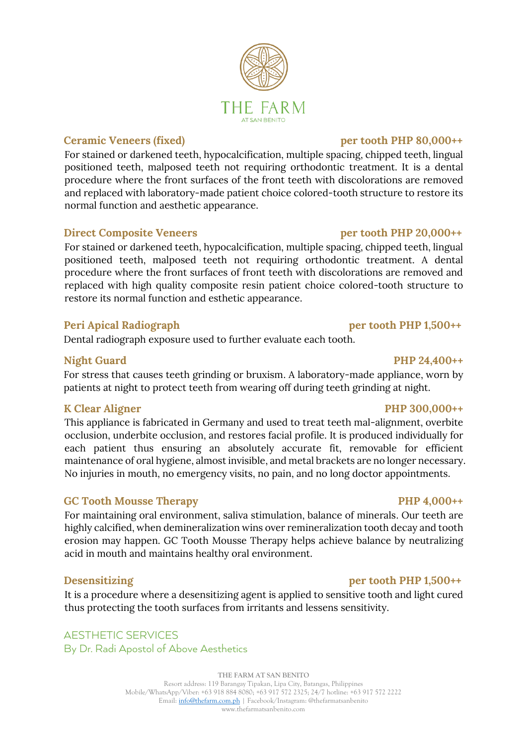### **Ceramic Veneers (fixed)** per tooth PHP 80,000++

For stained or darkened teeth, hypocalcification, multiple spacing, chipped teeth, lingual positioned teeth, malposed teeth not requiring orthodontic treatment. It is a dental procedure where the front surfaces of the front teeth with discolorations are removed and replaced with laboratory-made patient choice colored-tooth structure to restore its normal function and aesthetic appearance.

### **Direct Composite Veneers per tooth PHP 20,000++**

For stained or darkened teeth, hypocalcification, multiple spacing, chipped teeth, lingual positioned teeth, malposed teeth not requiring orthodontic treatment. A dental procedure where the front surfaces of front teeth with discolorations are removed and replaced with high quality composite resin patient choice colored-tooth structure to restore its normal function and esthetic appearance.

### **Peri Apical Radiograph per tooth PHP 1,500++**

Dental radiograph exposure used to further evaluate each tooth.

### Night Guard PHP 24,400<sup>++</sup>

For stress that causes teeth grinding or bruxism. A laboratory-made appliance, worn by patients at night to protect teeth from wearing off during teeth grinding at night.

### K Clear Aligner PHP 300,000++

This appliance is fabricated in Germany and used to treat teeth mal-alignment, overbite occlusion, underbite occlusion, and restores facial profile. It is produced individually for each patient thus ensuring an absolutely accurate fit, removable for efficient maintenance of oral hygiene, almost invisible, and metal brackets are no longer necessary. No injuries in mouth, no emergency visits, no pain, and no long doctor appointments.

### GC Tooth Mousse Therapy **PHP 4,000++**

For maintaining oral environment, saliva stimulation, balance of minerals. Our teeth are highly calcified, when demineralization wins over remineralization tooth decay and tooth erosion may happen. GC Tooth Mousse Therapy helps achieve balance by neutralizing acid in mouth and maintains healthy oral environment.

It is a procedure where a desensitizing agent is applied to sensitive tooth and light cured thus protecting the tooth surfaces from irritants and lessens sensitivity.

### AESTHETIC SERVICES By Dr. Radi Apostol of Above Aesthetics

**THE FARM AT SAN BENITO** Resort address: 119 Barangay Tipakan, Lipa City, Batangas, Philippines Mobile/WhatsApp/Viber: +63 918 884 8080; +63 917 572 2325; 24/7 hotline: +63 917 572 2222 Email: [info@thefarm.com.ph](mailto:info@thefarm.com.ph) | Facebook/Instagram: @thefarmatsanbenito www.thefarmatsanbenito.com

### **Desensitizing per tooth PHP 1,500++**

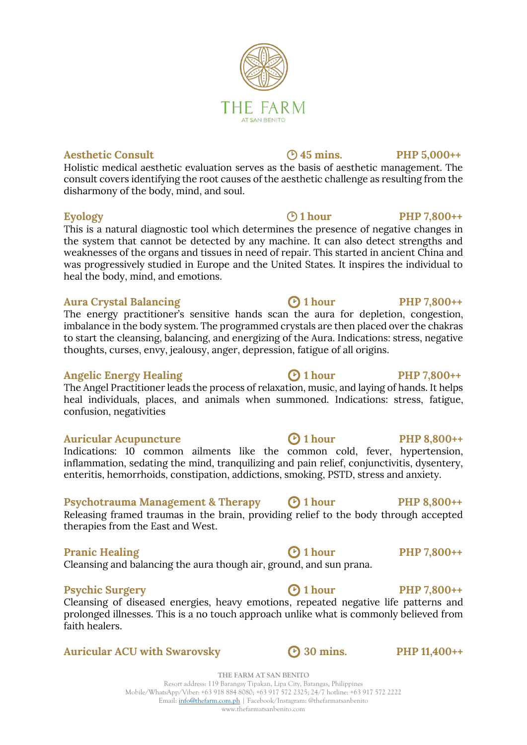### **Aesthetic Consult 45 mins. PHP 5,000++**

Holistic medical aesthetic evaluation serves as the basis of aesthetic management. The consult covers identifying the root causes of the aesthetic challenge as resulting from the disharmony of the body, mind, and soul.

THE FARM **AT SAN RENITO** 

### **Eyology C 1 hour PHP 7,800++**

This is a natural diagnostic tool which determines the presence of negative changes in the system that cannot be detected by any machine. It can also detect strengths and weaknesses of the organs and tissues in need of repair. This started in ancient China and was progressively studied in Europe and the United States. It inspires the individual to heal the body, mind, and emotions.

### Aura Crystal Balancing **1 b** 1 **hour PHP** 7,800++

The energy practitioner's sensitive hands scan the aura for depletion, congestion, imbalance in the body system. The programmed crystals are then placed over the chakras to start the cleansing, balancing, and energizing of the Aura. Indications: stress, negative thoughts, curses, envy, jealousy, anger, depression, fatigue of all origins.

### Angelic Energy Healing **C** 1 hour **PHP 7,800++**

The Angel Practitioner leads the process of relaxation, music, and laying of hands. It helps heal individuals, places, and animals when summoned. Indications: stress, fatigue, confusion, negativities

### Auricular Acupuncture **1 C** 1 hour **PHP 8,800++**

Indications: 10 common ailments like the common cold, fever, hypertension, inflammation, sedating the mind, tranquilizing and pain relief, conjunctivitis, dysentery, enteritis, hemorrhoids, constipation, addictions, smoking, PSTD, stress and anxiety.

### **Psychotrauma Management & Therapy**  $\bigcirc$  1 hour PHP 8,800++

Releasing framed traumas in the brain, providing relief to the body through accepted therapies from the East and West.

### **Pranic Healing 1 hour PHP 7,800++**

Cleansing and balancing the aura though air, ground, and sun prana.

### **Psychic Surgery C PHP** 7,800++

Cleansing of diseased energies, heavy emotions, repeated negative life patterns and prolonged illnesses. This is a no touch approach unlike what is commonly believed from faith healers.

### **Auricular ACU with Swarovsky 30 mins. PHP 11,400++**

**THE FARM AT SAN BENITO** Resort address: 119 Barangay Tipakan, Lipa City, Batangas, Philippines Mobile/WhatsApp/Viber: +63 918 884 8080; +63 917 572 2325; 24/7 hotline: +63 917 572 2222 Email: [info@thefarm.com.ph](mailto:info@thefarm.com.ph) | Facebook/Instagram: @thefarmatsanbenito www.thefarmatsanbenito.com

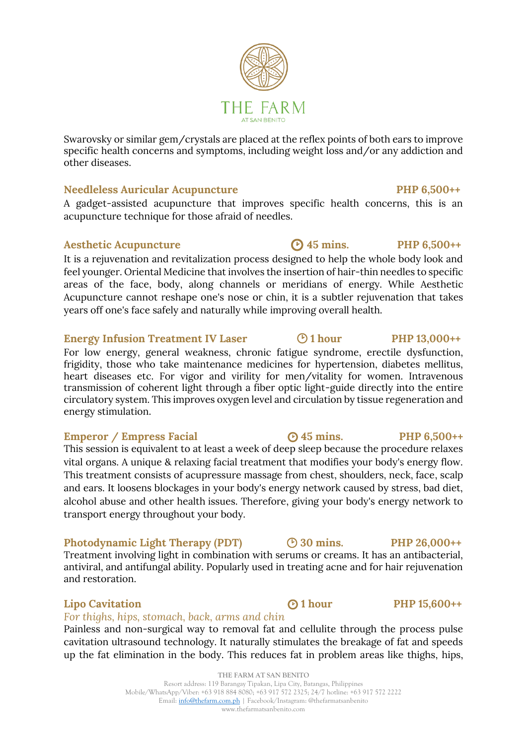### Needleless Auricular Acupuncture **PHP 6.500++**

A gadget-assisted acupuncture that improves specific health concerns, this is an acupuncture technique for those afraid of needles.

### Aesthetic Acupuncture **C** 45 mins. PHP 6,500++

other diseases.

It is a rejuvenation and revitalization process designed to help the whole body look and feel younger. Oriental Medicine that involves the insertion of hair-thin needles to specific areas of the face, body, along channels or meridians of energy. While Aesthetic Acupuncture cannot reshape one's nose or chin, it is a subtler rejuvenation that takes years off one's face safely and naturally while improving overall health.

### Energy Infusion Treatment IV Laser  $\bigcirc$  1 hour PHP 13,000++

For low energy, general weakness, chronic fatigue syndrome, erectile dysfunction, frigidity, those who take maintenance medicines for hypertension, diabetes mellitus, heart diseases etc. For vigor and virility for men/vitality for women. Intravenous transmission of coherent light through a fiber optic light-guide directly into the entire circulatory system. This improves oxygen level and circulation by tissue regeneration and energy stimulation.

### **Emperor / Empress Facial 45 mins.** PHP 6,500++

This session is equivalent to at least a week of deep sleep because the procedure relaxes vital organs. A unique & relaxing facial treatment that modifies your body's energy flow. This treatment consists of acupressure massage from chest, shoulders, neck, face, scalp and ears. It loosens blockages in your body's energy network caused by stress, bad diet, alcohol abuse and other health issues. Therefore, giving your body's energy network to transport energy throughout your body.

### **Photodynamic Light Therapy (PDT) 30 mins. PHP 26,000++**

Treatment involving light in combination with serums or creams. It has an antibacterial, antiviral, and antifungal ability. Popularly used in treating acne and for hair rejuvenation and restoration.

### **Lipo Cavitation 1 C 1 hour PHP 15,600++**

### *For thighs, hips, stomach, back, arms and chin*

Painless and non-surgical way to removal fat and cellulite through the process pulse cavitation ultrasound technology. It naturally stimulates the breakage of fat and speeds up the fat elimination in the body. This reduces fat in problem areas like thighs, hips,

# FA R M

Swarovsky or similar gem/crystals are placed at the reflex points of both ears to improve specific health concerns and symptoms, including weight loss and/or any addiction and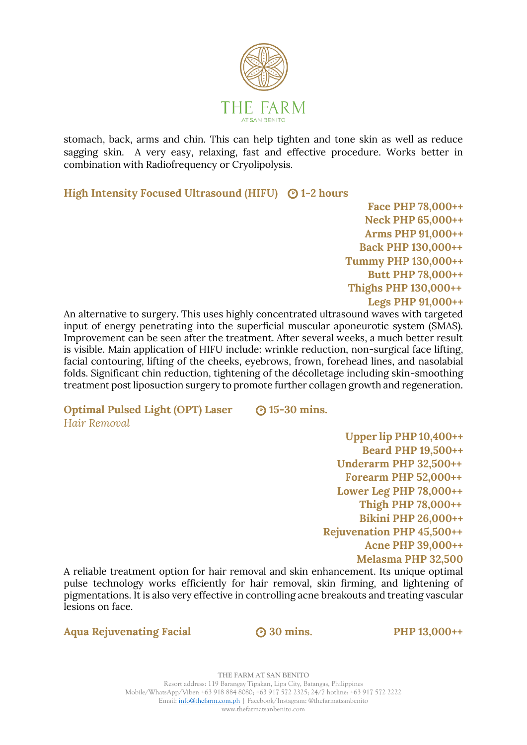

stomach, back, arms and chin. This can help tighten and tone skin as well as reduce sagging skin. A very easy, relaxing, fast and effective procedure. Works better in combination with Radiofrequency or Cryolipolysis.

**High Intensity Focused Ultrasound (HIFU)**  $\odot$  1-2 hours

 **Face PHP 78,000++ Neck PHP 65,000++ Arms PHP 91,000++ Back PHP 130,000++ Tummy PHP 130,000++ Butt PHP 78,000++ Thighs PHP 130,000++ Legs PHP 91,000++** 

An alternative to surgery. This uses highly concentrated ultrasound waves with targeted input of energy penetrating into the superficial muscular aponeurotic system (SMAS). Improvement can be seen after the treatment. After several weeks, a much better result is visible. Main application of HIFU include: wrinkle reduction, non-surgical face lifting, facial contouring, lifting of the cheeks, eyebrows, frown, forehead lines, and nasolabial folds. Significant chin reduction, tightening of the décolletage including skin-smoothing treatment post liposuction surgery to promote further collagen growth and regeneration.

**Optimal Pulsed Light (OPT) Laser 15-30 mins.** *Hair Removal*

 **Upper lip PHP 10,400++ Beard PHP 19,500++ Underarm PHP 32,500++ Forearm PHP 52,000++ Lower Leg PHP 78,000++ Thigh PHP 78,000++ Bikini PHP 26,000++ Rejuvenation PHP 45,500++ Acne PHP 39,000++ Melasma PHP 32,500**

A reliable treatment option for hair removal and skin enhancement. Its unique optimal pulse technology works efficiently for hair removal, skin firming, and lightening of pigmentations. It is also very effective in controlling acne breakouts and treating vascular lesions on face.

**Aqua Rejuvenating Facial 30 mins. PHP 13,000++**

**THE FARM AT SAN BENITO** Resort address: 119 Barangay Tipakan, Lipa City, Batangas, Philippines Mobile/WhatsApp/Viber: +63 918 884 8080; +63 917 572 2325; 24/7 hotline: +63 917 572 2222 Email: [info@thefarm.com.ph](mailto:info@thefarm.com.ph) | Facebook/Instagram: @thefarmatsanbenito www.thefarmatsanbenito.com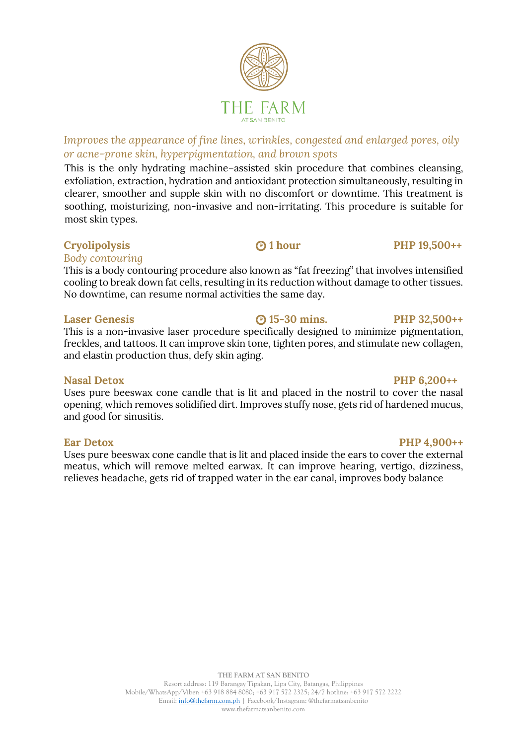### *Improves the appearance of fine lines, wrinkles, congested and enlarged pores, oily or acne-prone skin, hyperpigmentation, and brown spots*

This is the only hydrating machine–assisted skin procedure that combines cleansing, exfoliation, extraction, hydration and antioxidant protection simultaneously, resulting in clearer, smoother and supple skin with no discomfort or downtime. This treatment is soothing, moisturizing, non-invasive and non-irritating. This procedure is suitable for most skin types.

### **Cryolipolysis 1 hour PHP 19,500++**

### *Body contouring*

This is a body contouring procedure also known as "fat freezing" that involves intensified cooling to break down fat cells, resulting in its reduction without damage to other tissues. No downtime, can resume normal activities the same day.

### **Laser Genesis 15-30 mins. PHP 32,500++**

This is a non-invasive laser procedure specifically designed to minimize pigmentation, freckles, and tattoos. It can improve skin tone, tighten pores, and stimulate new collagen, and elastin production thus, defy skin aging.

Uses pure beeswax cone candle that is lit and placed in the nostril to cover the nasal opening, which removes solidified dirt. Improves stuffy nose, gets rid of hardened mucus, and good for sinusitis.

Uses pure beeswax cone candle that is lit and placed inside the ears to cover the external meatus, which will remove melted earwax. It can improve hearing, vertigo, dizziness, relieves headache, gets rid of trapped water in the ear canal, improves body balance

### **Nasal Detox PHP 6,200++**

### **Ear Detox** PHP 4,900++

# FA R M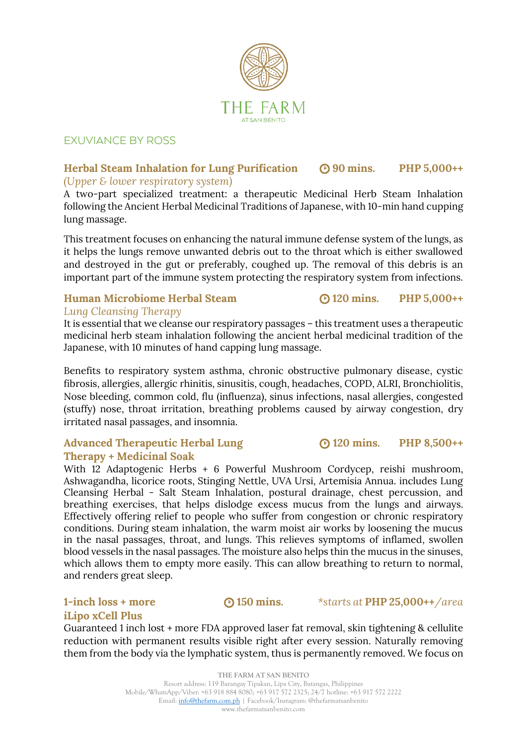

### EXUVIANCE BY ROSS

### **Herbal Steam Inhalation for Lung Purification 90 mins. PHP 5,000++** *(Upper & lower respiratory system)*

A two-part specialized treatment: a therapeutic Medicinal Herb Steam Inhalation following the Ancient Herbal Medicinal Traditions of Japanese, with 10-min hand cupping lung massage.

This treatment focuses on enhancing the natural immune defense system of the lungs, as it helps the lungs remove unwanted debris out to the throat which is either swallowed and destroyed in the gut or preferably, coughed up. The removal of this debris is an important part of the immune system protecting the respiratory system from infections.

### **Human Microbiome Herbal Steam 120 mins. PHP 5,000++** *Lung Cleansing Therapy*

It is essential that we cleanse our respiratory passages – this treatment uses a therapeutic medicinal herb steam inhalation following the ancient herbal medicinal tradition of the Japanese, with 10 minutes of hand capping lung massage.

Benefits to respiratory system asthma, chronic obstructive pulmonary disease, cystic fibrosis, allergies, allergic rhinitis, sinusitis, cough, headaches, COPD, ALRI, Bronchiolitis, Nose bleeding, common cold, flu (influenza), sinus infections, nasal allergies, congested (stuffy) nose, throat irritation, breathing problems caused by airway congestion, dry irritated nasal passages, and insomnia.

### Advanced Therapeutic Herbal Lung **3120 mins.** PHP 8,500++ **Therapy + Medicinal Soak**

With 12 Adaptogenic Herbs + 6 Powerful Mushroom Cordycep, reishi mushroom, Ashwagandha, licorice roots, Stinging Nettle, UVA Ursi, Artemisia Annua. includes Lung Cleansing Herbal - Salt Steam Inhalation, postural drainage, chest percussion, and breathing exercises, that helps dislodge excess mucus from the lungs and airways. Effectively offering relief to people who suffer from congestion or chronic respiratory conditions. During steam inhalation, the warm moist air works by loosening the mucus in the nasal passages, throat, and lungs. This relieves symptoms of inflamed, swollen blood vessels in the nasal passages. The moisture also helps thin the mucus in the sinuses, which allows them to empty more easily. This can allow breathing to return to normal, and renders great sleep.

## **iLipo xCell Plus**

Guaranteed 1 inch lost + more FDA approved laser fat removal, skin tightening & cellulite reduction with permanent results visible right after every session. Naturally removing them from the body via the lymphatic system, thus is permanently removed. We focus on

**1-inch loss + more 150 mins.** *\*starts at* **PHP 25,000++***/area*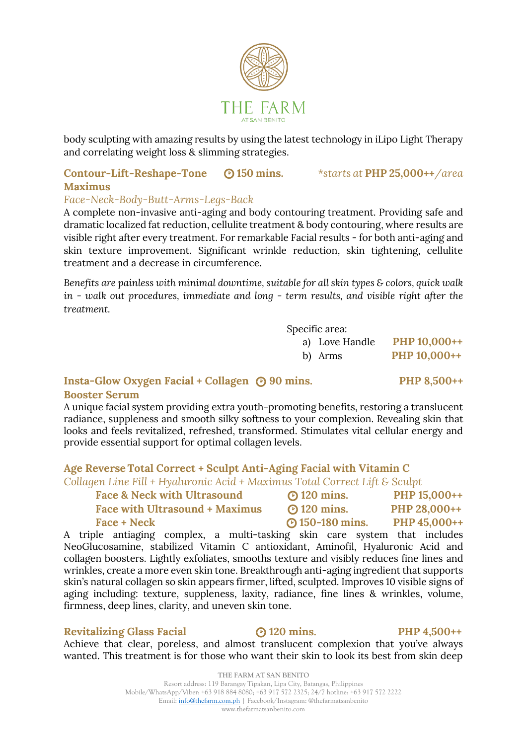

body sculpting with amazing results by using the latest technology in iLipo Light Therapy and correlating weight loss & slimming strategies.

### **Contour-Lift-Reshape-Tone 150 mins.** *\*starts at* **PHP 25,000++***/area* **Maximus**

### *Face-Neck-Body-Butt-Arms-Legs-Back*

A complete non-invasive anti-aging and body contouring treatment. Providing safe and dramatic localized fat reduction, cellulite treatment & body contouring, where results are visible right after every treatment. For remarkable Facial results - for both anti-aging and skin texture improvement. Significant wrinkle reduction, skin tightening, cellulite treatment and a decrease in circumference.

*Benefits are painless with minimal downtime, suitable for all skin types & colors, quick walk in - walk out procedures, immediate and long - term results, and visible right after the treatment.*

Specific area:

- a) Love Handle **PHP 10,000++**
- b) Arms **PHP 10,000++**

### **Insta-Glow Oxygen Facial + Collagen 90 mins. PHP 8,500++**

### **Booster Serum**

A unique facial system providing extra youth-promoting benefits, restoring a translucent radiance, suppleness and smooth silky softness to your complexion. Revealing skin that looks and feels revitalized, refreshed, transformed. Stimulates vital cellular energy and provide essential support for optimal collagen levels.

### **Age Reverse Total Correct + Sculpt Anti-Aging Facial with Vitamin C**

*Collagen Line Fill + Hyaluronic Acid + Maximus Total Correct Lift & Sculpt*

| <b>Face &amp; Neck with Ultrasound</b> | <b>@</b> 120 mins.     | PHP 15,000++ |
|----------------------------------------|------------------------|--------------|
| <b>Face with Ultrasound + Maximus</b>  | <b>@</b> 120 mins.     | PHP 28,000++ |
| <b>Face + Neck</b>                     | <b>@</b> 150-180 mins. | PHP 45,000++ |

A triple antiaging complex, a multi-tasking skin care system that includes NeoGlucosamine, stabilized Vitamin C antioxidant, Aminofil, Hyaluronic Acid and collagen boosters. Lightly exfoliates, smooths texture and visibly reduces fine lines and wrinkles, create a more even skin tone. Breakthrough anti-aging ingredient that supports skin's natural collagen so skin appears firmer, lifted, sculpted. Improves 10 visible signs of aging including: texture, suppleness, laxity, radiance, fine lines & wrinkles, volume, firmness, deep lines, clarity, and uneven skin tone.

### **Revitalizing Glass Facial 120 mins. PHP 4,500++**

Achieve that clear, poreless, and almost translucent complexion that you've always wanted. This treatment is for those who want their skin to look its best from skin deep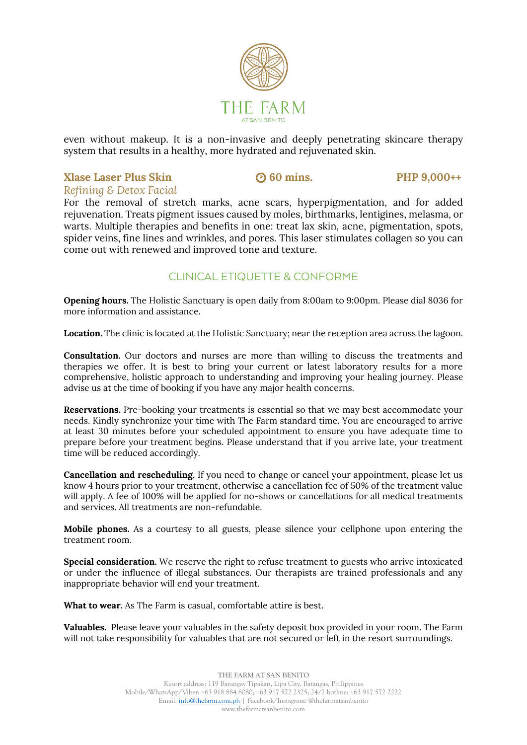

even without makeup. It is a non-invasive and deeply penetrating skincare therapy system that results in a healthy, more hydrated and rejuvenated skin.

### **Xlase Laser Plus Skin •• 60 mins.** PHP 9,000++ *Refining & Detox Facial*

For the removal of stretch marks, acne scars, hyperpigmentation, and for added rejuvenation. Treats pigment issues caused by moles, birthmarks, lentigines, melasma, or warts. Multiple therapies and benefits in one: treat lax skin, acne, pigmentation, spots, spider veins, fine lines and wrinkles, and pores. This laser stimulates collagen so you can come out with renewed and improved tone and texture.

### CLINICAL ETIQUETTE & CONFORME

**Opening hours.** The Holistic Sanctuary is open daily from 8:00am to 9:00pm. Please dial 8036 for more information and assistance.

**Location.** The clinic is located at the Holistic Sanctuary; near the reception area across the lagoon.

**Consultation.** Our doctors and nurses are more than willing to discuss the treatments and therapies we offer. It is best to bring your current or latest laboratory results for a more comprehensive, holistic approach to understanding and improving your healing journey. Please advise us at the time of booking if you have any major health concerns.

**Reservations.** Pre-booking your treatments is essential so that we may best accommodate your needs. Kindly synchronize your time with The Farm standard time. You are encouraged to arrive at least 30 minutes before your scheduled appointment to ensure you have adequate time to prepare before your treatment begins. Please understand that if you arrive late, your treatment time will be reduced accordingly.

**Cancellation and rescheduling.** If you need to change or cancel your appointment, please let us know 4 hours prior to your treatment, otherwise a cancellation fee of 50% of the treatment value will apply. A fee of 100% will be applied for no-shows or cancellations for all medical treatments and services. All treatments are non-refundable.

**Mobile phones.** As a courtesy to all guests, please silence your cellphone upon entering the treatment room.

**Special consideration.** We reserve the right to refuse treatment to guests who arrive intoxicated or under the influence of illegal substances. Our therapists are trained professionals and any inappropriate behavior will end your treatment.

**What to wear.** As The Farm is casual, comfortable attire is best.

**Valuables.** Please leave your valuables in the safety deposit box provided in your room. The Farm will not take responsibility for valuables that are not secured or left in the resort surroundings.